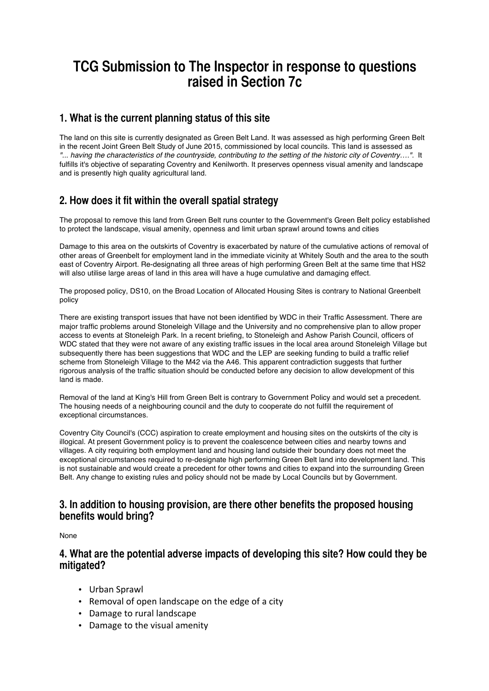# **TCG Submission to The Inspector in response to questions raised in Section 7c**

# **1. What is the current planning status of this site**

The land on this site is currently designated as Green Belt Land. It was assessed as high performing Green Belt in the recent Joint Green Belt Study of June 2015, commissioned by local councils. This land is assessed as *"... having the characteristics of the countryside, contributing to the setting of the historic city of Coventry….".* It fulfills it's objective of separating Coventry and Kenilworth. It preserves openness visual amenity and landscape and is presently high quality agricultural land.

# **2. How does it fit within the overall spatial strategy**

The proposal to remove this land from Green Belt runs counter to the Government's Green Belt policy established to protect the landscape, visual amenity, openness and limit urban sprawl around towns and cities

Damage to this area on the outskirts of Coventry is exacerbated by nature of the cumulative actions of removal of other areas of Greenbelt for employment land in the immediate vicinity at Whitely South and the area to the south east of Coventry Airport. Re-designating all three areas of high performing Green Belt at the same time that HS2 will also utilise large areas of land in this area will have a huge cumulative and damaging effect.

The proposed policy, DS10, on the Broad Location of Allocated Housing Sites is contrary to National Greenbelt policy

There are existing transport issues that have not been identified by WDC in their Traffic Assessment. There are major traffic problems around Stoneleigh Village and the University and no comprehensive plan to allow proper access to events at Stoneleigh Park. In a recent briefing, to Stoneleigh and Ashow Parish Council, officers of WDC stated that they were not aware of any existing traffic issues in the local area around Stoneleigh Village but subsequently there has been suggestions that WDC and the LEP are seeking funding to build a traffic relief scheme from Stoneleigh Village to the M42 via the A46. This apparent contradiction suggests that further rigorous analysis of the traffic situation should be conducted before any decision to allow development of this land is made.

Removal of the land at King's Hill from Green Belt is contrary to Government Policy and would set a precedent. The housing needs of a neighbouring council and the duty to cooperate do not fulfill the requirement of exceptional circumstances.

Coventry City Council's (CCC) aspiration to create employment and housing sites on the outskirts of the city is illogical. At present Government policy is to prevent the coalescence between cities and nearby towns and villages. A city requiring both employment land and housing land outside their boundary does not meet the exceptional circumstances required to re-designate high performing Green Belt land into development land. This is not sustainable and would create a precedent for other towns and cities to expand into the surrounding Green Belt. Any change to existing rules and policy should not be made by Local Councils but by Government.

### **3. In addition to housing provision, are there other benefits the proposed housing benefits would bring?**

None

### **4. What are the potential adverse impacts of developing this site? How could they be mitigated?**

- Urban Sprawl
- Removal of open landscape on the edge of a city
- Damage to rural landscape
- Damage to the visual amenity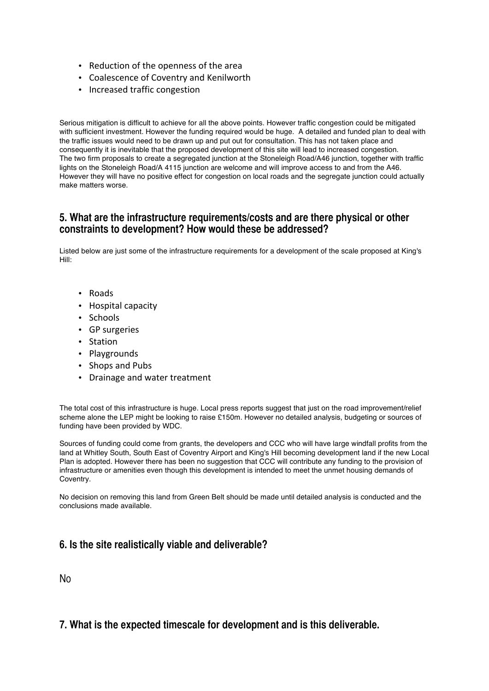- Reduction of the openness of the area
- Coalescence of Coventry and Kenilworth
- Increased traffic congestion

Serious mitigation is difficult to achieve for all the above points. However traffic congestion could be mitigated with sufficient investment. However the funding required would be huge. A detailed and funded plan to deal with the traffic issues would need to be drawn up and put out for consultation. This has not taken place and consequently it is inevitable that the proposed development of this site will lead to increased congestion. The two firm proposals to create a segregated junction at the Stoneleigh Road/A46 junction, together with traffic lights on the Stoneleigh Road/A 4115 junction are welcome and will improve access to and from the A46. However they will have no positive effect for congestion on local roads and the segregate junction could actually make matters worse.

### **5. What are the infrastructure requirements/costs and are there physical or other constraints to development? How would these be addressed?**

Listed below are just some of the infrastructure requirements for a development of the scale proposed at King's Hill:

- Roads
- Hospital capacity
- Schools
- GP surgeries
- Station
- Playgrounds
- Shops and Pubs
- Drainage and water treatment

The total cost of this infrastructure is huge. Local press reports suggest that just on the road improvement/relief scheme alone the LEP might be looking to raise £150m. However no detailed analysis, budgeting or sources of funding have been provided by WDC.

Sources of funding could come from grants, the developers and CCC who will have large windfall profits from the land at Whitley South, South East of Coventry Airport and King's Hill becoming development land if the new Local Plan is adopted. However there has been no suggestion that CCC will contribute any funding to the provision of infrastructure or amenities even though this development is intended to meet the unmet housing demands of Coventry.

No decision on removing this land from Green Belt should be made until detailed analysis is conducted and the conclusions made available.

# **6. Is the site realistically viable and deliverable?**

No

# **7. What is the expected timescale for development and is this deliverable.**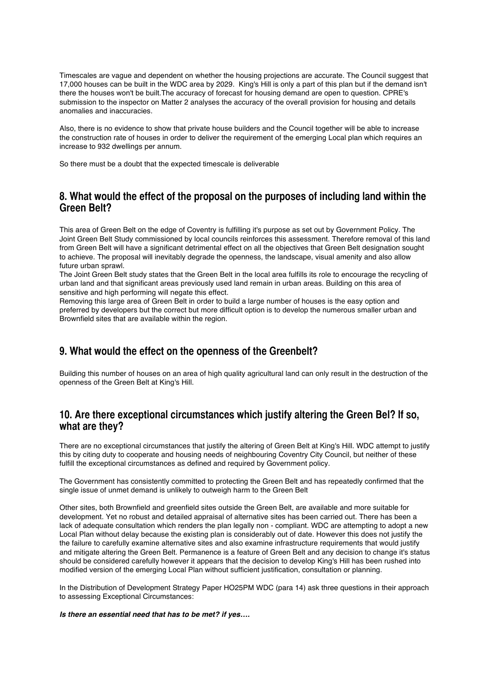Timescales are vague and dependent on whether the housing projections are accurate. The Council suggest that 17,000 houses can be built in the WDC area by 2029. King's Hill is only a part of this plan but if the demand isn't there the houses won't be built.The accuracy of forecast for housing demand are open to question. CPRE's submission to the inspector on Matter 2 analyses the accuracy of the overall provision for housing and details anomalies and inaccuracies.

Also, there is no evidence to show that private house builders and the Council together will be able to increase the construction rate of houses in order to deliver the requirement of the emerging Local plan which requires an increase to 932 dwellings per annum.

So there must be a doubt that the expected timescale is deliverable

### **8. What would the effect of the proposal on the purposes of including land within the Green Belt?**

This area of Green Belt on the edge of Coventry is fulfilling it's purpose as set out by Government Policy. The Joint Green Belt Study commissioned by local councils reinforces this assessment. Therefore removal of this land from Green Belt will have a significant detrimental effect on all the objectives that Green Belt designation sought to achieve. The proposal will inevitably degrade the openness, the landscape, visual amenity and also allow future urban sprawl.

The Joint Green Belt study states that the Green Belt in the local area fulfills its role to encourage the recycling of urban land and that significant areas previously used land remain in urban areas. Building on this area of sensitive and high performing will negate this effect.

Removing this large area of Green Belt in order to build a large number of houses is the easy option and preferred by developers but the correct but more difficult option is to develop the numerous smaller urban and Brownfield sites that are available within the region.

# **9. What would the effect on the openness of the Greenbelt?**

Building this number of houses on an area of high quality agricultural land can only result in the destruction of the openness of the Green Belt at King's Hill.

### **10. Are there exceptional circumstances which justify altering the Green Bel? If so, what are they?**

There are no exceptional circumstances that justify the altering of Green Belt at King's Hill. WDC attempt to justify this by citing duty to cooperate and housing needs of neighbouring Coventry City Council, but neither of these fulfill the exceptional circumstances as defined and required by Government policy.

The Government has consistently committed to protecting the Green Belt and has repeatedly confirmed that the single issue of unmet demand is unlikely to outweigh harm to the Green Belt

Other sites, both Brownfield and greenfield sites outside the Green Belt, are available and more suitable for development. Yet no robust and detailed appraisal of alternative sites has been carried out. There has been a lack of adequate consultation which renders the plan legally non - compliant. WDC are attempting to adopt a new Local Plan without delay because the existing plan is considerably out of date. However this does not justify the the failure to carefully examine alternative sites and also examine infrastructure requirements that would justify and mitigate altering the Green Belt. Permanence is a feature of Green Belt and any decision to change it's status should be considered carefully however it appears that the decision to develop King's Hill has been rushed into modified version of the emerging Local Plan without sufficient justification, consultation or planning.

In the Distribution of Development Strategy Paper HO25PM WDC (para 14) ask three questions in their approach to assessing Exceptional Circumstances:

#### *Is there an essential need that has to be met? if yes….*